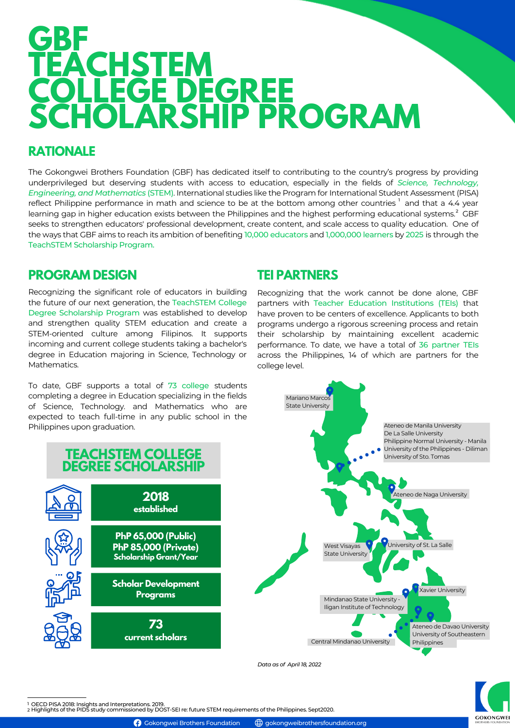# **GBF TEACHSTEM COLLEGE DEGREE SCHOLARSHIP PROGRAM**

### **RATIONALE**

The Gokongwei Brothers Foundation (GBF) has dedicated itself to contributing to the country's progress by providing underprivileged but deserving students with access to education, especially in the fields of *Science, Technology, Engineering, and Mathematics* (STEM). International studies like the Program for International Student Assessment (PISA) reflect Philippine performance in math and science to be at the bottom among other countries  $^{\rm l}$  and that a 4.4 year learning gap in higher education exists between the Philippines and the highest performing educational systems. $^2$  GBF seeks to strengthen educators' professional development, create content, and scale access to quality education. One of the ways that GBF aims to reach its ambition of benefiting 10,000 educators and 1,000,000 learners by 2025 is through the TeachSTEM Scholarship Program.

### **PROGRAM DESIGN**

Recognizing the significant role of educators in building the future of our next generation, the TeachSTEM College Degree Scholarship Program was established to develop and strengthen quality STEM education and create a STEM-oriented culture among Filipinos. It supports incoming and current college students taking a bachelor's degree in Education majoring in Science, Technology or Mathematics.

To date, GBF supports a total of 73 college students completing a degree in Education specializing in the fields of Science, Technology. and Mathematics who are expected to teach full-time in any public school in the Philippines upon graduation.

#### **TEI PARTNERS**

Recognizing that the work cannot be done alone, GBF partners with Teacher Education Institutions (TEIs) that have proven to be centers of excellence. Applicants to both programs undergo a rigorous screening process and retain their scholarship by maintaining excellent academic performance. To date, we have a total of 36 partner TEIs across the Philippines, 14 of which are partners for the college level.



**GOKONGWE** 

1 OECD PISA 2018: Insights and Interpretations. 2019.<br>2 Highlights of the PIDS study commissioned by DOST-SEI re: future STEM requirements of the Philippines. Sept2020.